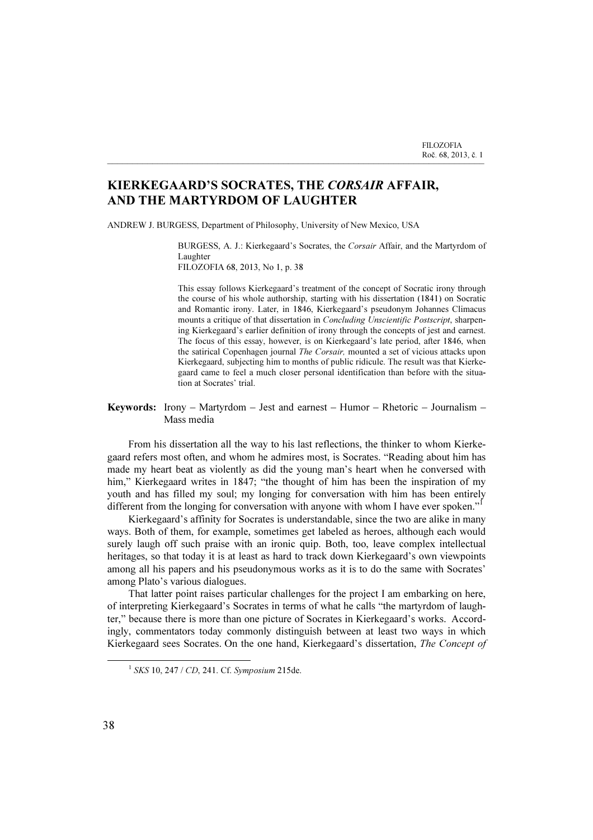## KIERKEGAARD'S SOCRATES, THE CORSAIR AFFAIR, AND THE MARTYRDOM OF LAUGHTER

\_\_\_\_\_\_\_\_\_\_\_\_\_\_\_\_\_\_\_\_\_\_\_\_\_\_\_\_\_\_\_\_\_\_\_\_\_\_\_\_\_\_\_\_\_\_\_\_\_\_\_\_\_\_\_\_\_\_\_\_\_\_\_\_\_\_\_\_\_\_\_\_\_\_\_

ANDREW J. BURGESS, Department of Philosophy, University of New Mexico, USA

BURGESS, A. J.: Kierkegaard's Socrates, the Corsair Affair, and the Martyrdom of Laughter FILOZOFIA 68, 2013, No 1, p. 38

This essay follows Kierkegaard's treatment of the concept of Socratic irony through the course of his whole authorship, starting with his dissertation (1841) on Socratic and Romantic irony. Later, in 1846, Kierkegaard's pseudonym Johannes Climacus mounts a critique of that dissertation in Concluding Unscientific Postscript, sharpening Kierkegaard's earlier definition of irony through the concepts of jest and earnest. The focus of this essay, however, is on Kierkegaard's late period, after 1846, when

the satirical Copenhagen journal The Corsair, mounted a set of vicious attacks upon Kierkegaard, subjecting him to months of public ridicule. The result was that Kierkegaard came to feel a much closer personal identification than before with the situation at Socrates' trial.

## Keywords: Irony – Martyrdom – Jest and earnest – Humor – Rhetoric – Journalism – Mass media

From his dissertation all the way to his last reflections, the thinker to whom Kierkegaard refers most often, and whom he admires most, is Socrates. "Reading about him has made my heart beat as violently as did the young man's heart when he conversed with him," Kierkegaard writes in 1847; "the thought of him has been the inspiration of my youth and has filled my soul; my longing for conversation with him has been entirely different from the longing for conversation with anyone with whom I have ever spoken."

Kierkegaard's affinity for Socrates is understandable, since the two are alike in many ways. Both of them, for example, sometimes get labeled as heroes, although each would surely laugh off such praise with an ironic quip. Both, too, leave complex intellectual heritages, so that today it is at least as hard to track down Kierkegaard's own viewpoints among all his papers and his pseudonymous works as it is to do the same with Socrates' among Plato's various dialogues.

That latter point raises particular challenges for the project I am embarking on here, of interpreting Kierkegaard's Socrates in terms of what he calls "the martyrdom of laughter," because there is more than one picture of Socrates in Kierkegaard's works. Accordingly, commentators today commonly distinguish between at least two ways in which Kierkegaard sees Socrates. On the one hand, Kierkegaard's dissertation, The Concept of

 $1$  SKS 10, 247 / CD, 241. Cf. Symposium 215de.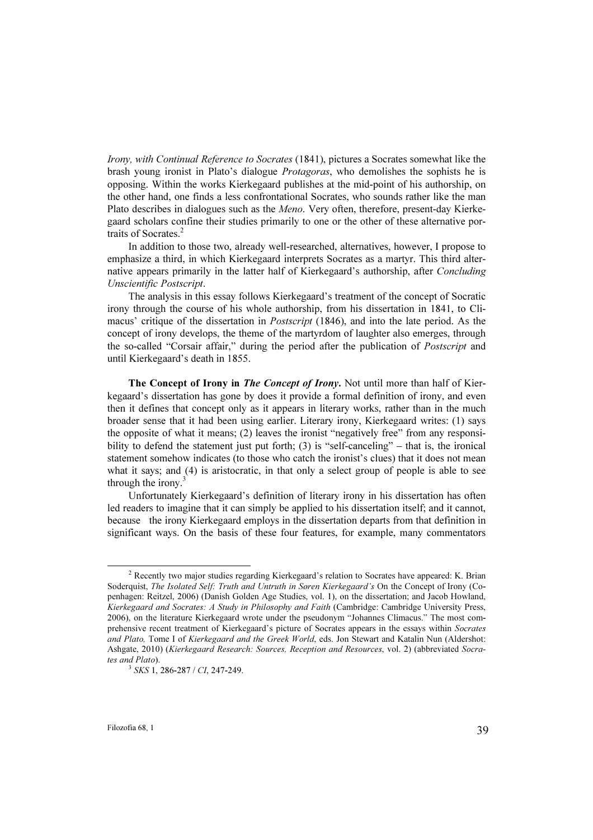Irony, with Continual Reference to Socrates (1841), pictures a Socrates somewhat like the brash young ironist in Plato's dialogue Protagoras, who demolishes the sophists he is opposing. Within the works Kierkegaard publishes at the mid-point of his authorship, on the other hand, one finds a less confrontational Socrates, who sounds rather like the man Plato describes in dialogues such as the Meno. Very often, therefore, present-day Kierkegaard scholars confine their studies primarily to one or the other of these alternative portraits of Socrates.<sup>2</sup>

In addition to those two, already well-researched, alternatives, however, I propose to emphasize a third, in which Kierkegaard interprets Socrates as a martyr. This third alternative appears primarily in the latter half of Kierkegaard's authorship, after Concluding Unscientific Postscript.

The analysis in this essay follows Kierkegaard's treatment of the concept of Socratic irony through the course of his whole authorship, from his dissertation in 1841, to Climacus' critique of the dissertation in Postscript (1846), and into the late period. As the concept of irony develops, the theme of the martyrdom of laughter also emerges, through the so-called "Corsair affair," during the period after the publication of Postscript and until Kierkegaard's death in 1855.

The Concept of Irony in *The Concept of Irony*. Not until more than half of Kierkegaard's dissertation has gone by does it provide a formal definition of irony, and even then it defines that concept only as it appears in literary works, rather than in the much broader sense that it had been using earlier. Literary irony, Kierkegaard writes: (1) says the opposite of what it means; (2) leaves the ironist "negatively free" from any responsibility to defend the statement just put forth; (3) is "self-canceling" – that is, the ironical statement somehow indicates (to those who catch the ironist's clues) that it does not mean what it says; and (4) is aristocratic, in that only a select group of people is able to see through the irony. $3$ 

Unfortunately Kierkegaard's definition of literary irony in his dissertation has often led readers to imagine that it can simply be applied to his dissertation itself; and it cannot, because the irony Kierkegaard employs in the dissertation departs from that definition in significant ways. On the basis of these four features, for example, many commentators

<sup>&</sup>lt;sup>2</sup> Recently two major studies regarding Kierkegaard's relation to Socrates have appeared: K. Brian Soderquist, The Isolated Self: Truth and Untruth in Søren Kierkegaard's On the Concept of Irony (Copenhagen: Reitzel, 2006) (Danish Golden Age Studies, vol. 1), on the dissertation; and Jacob Howland, Kierkegaard and Socrates: A Study in Philosophy and Faith (Cambridge: Cambridge University Press, 2006), on the literature Kierkegaard wrote under the pseudonym "Johannes Climacus." The most comprehensive recent treatment of Kierkegaard's picture of Socrates appears in the essays within Socrates and Plato, Tome I of Kierkegaard and the Greek World, eds. Jon Stewart and Katalin Nun (Aldershot: Ashgate, 2010) (Kierkegaard Research: Sources, Reception and Resources, vol. 2) (abbreviated Socrates and Plato).<br><sup>3</sup> SKS 1, 286-287 / CI, 247-249.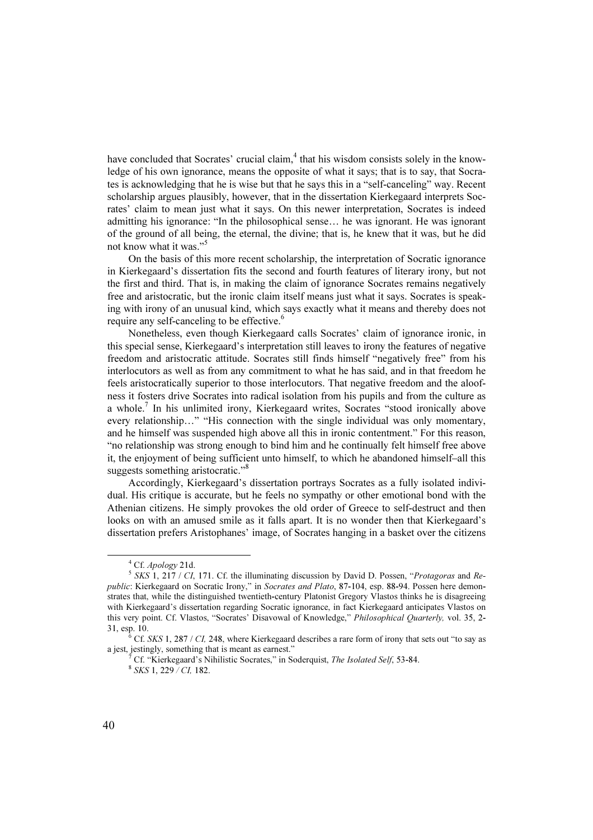have concluded that Socrates' crucial claim,<sup>4</sup> that his wisdom consists solely in the knowledge of his own ignorance, means the opposite of what it says; that is to say, that Socrates is acknowledging that he is wise but that he says this in a "self-canceling" way. Recent scholarship argues plausibly, however, that in the dissertation Kierkegaard interprets Socrates' claim to mean just what it says. On this newer interpretation, Socrates is indeed admitting his ignorance: "In the philosophical sense… he was ignorant. He was ignorant of the ground of all being, the eternal, the divine; that is, he knew that it was, but he did not know what it was."<sup>5</sup>

On the basis of this more recent scholarship, the interpretation of Socratic ignorance in Kierkegaard's dissertation fits the second and fourth features of literary irony, but not the first and third. That is, in making the claim of ignorance Socrates remains negatively free and aristocratic, but the ironic claim itself means just what it says. Socrates is speaking with irony of an unusual kind, which says exactly what it means and thereby does not require any self-canceling to be effective.<sup>6</sup>

Nonetheless, even though Kierkegaard calls Socrates' claim of ignorance ironic, in this special sense, Kierkegaard's interpretation still leaves to irony the features of negative freedom and aristocratic attitude. Socrates still finds himself "negatively free" from his interlocutors as well as from any commitment to what he has said, and in that freedom he feels aristocratically superior to those interlocutors. That negative freedom and the aloofness it fosters drive Socrates into radical isolation from his pupils and from the culture as a whole.<sup>7</sup> In his unlimited irony, Kierkegaard writes, Socrates "stood ironically above every relationship…" "His connection with the single individual was only momentary, and he himself was suspended high above all this in ironic contentment." For this reason, "no relationship was strong enough to bind him and he continually felt himself free above it, the enjoyment of being sufficient unto himself, to which he abandoned himself–all this suggests something aristocratic."<sup>8</sup>

Accordingly, Kierkegaard's dissertation portrays Socrates as a fully isolated individual. His critique is accurate, but he feels no sympathy or other emotional bond with the Athenian citizens. He simply provokes the old order of Greece to self-destruct and then looks on with an amused smile as it falls apart. It is no wonder then that Kierkegaard's dissertation prefers Aristophanes' image, of Socrates hanging in a basket over the citizens

 $4$  Cf. Apology 21d.

 $<sup>5</sup> SKS$  1, 217 / CI, 171. Cf. the illuminating discussion by David D. Possen, "Protagoras and Re-</sup> public: Kierkegaard on Socratic Irony," in Socrates and Plato, 87-104, esp. 88-94. Possen here demonstrates that, while the distinguished twentieth-century Platonist Gregory Vlastos thinks he is disagreeing with Kierkegaard's dissertation regarding Socratic ignorance, in fact Kierkegaard anticipates Vlastos on this very point. Cf. Vlastos, "Socrates' Disavowal of Knowledge," Philosophical Quarterly, vol. 35, 2- 31, esp. 10. <sup>6</sup>

 $6$  Cf. SKS 1, 287 / CI, 248, where Kierkegaard describes a rare form of irony that sets out "to say as a jest, jestingly, something that is meant as earnest." <sup>7</sup>

<sup>&</sup>lt;sup>7</sup> Cf. "Kierkegaard's Nihilistic Socrates," in Soderquist, *The Isolated Self*, 53-84. <sup>8</sup> SKS 1, 229 / CI, 182.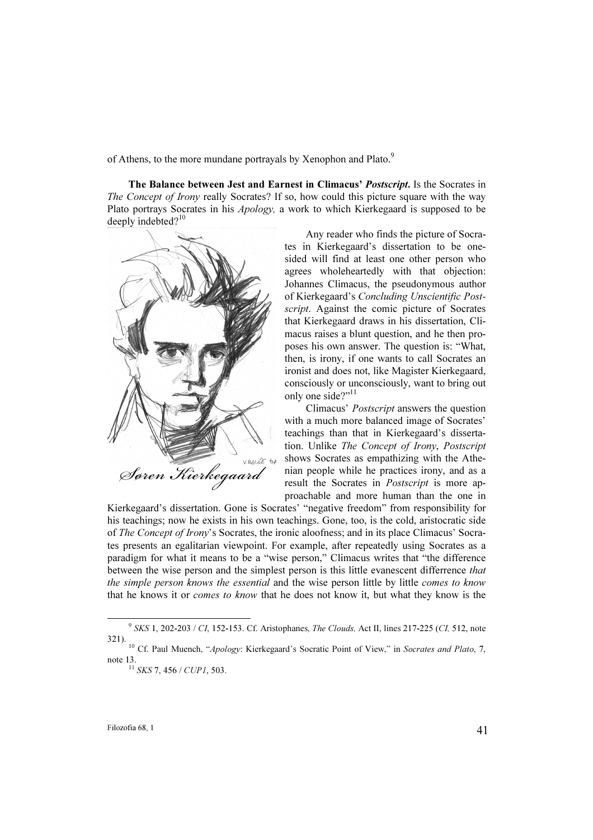of Athens, to the more mundane portrayals by Xenophon and Plato.<sup>9</sup>

The Balance between Jest and Earnest in Climacus' Postscript. Is the Socrates in The Concept of Irony really Socrates? If so, how could this picture square with the way Plato portrays Socrates in his Apology, a work to which Kierkegaard is supposed to be deeply indebted? $10$ 



Any reader who finds the picture of Socrates in Kierkegaard's dissertation to be onesided will find at least one other person who agrees wholeheartedly with that objection: Johannes Climacus, the pseudonymous author of Kierkegaard's Concluding Unscientific Postscript. Against the comic picture of Socrates that Kierkegaard draws in his dissertation, Climacus raises a blunt question, and he then proposes his own answer. The question is: "What, then, is irony, if one wants to call Socrates an ironist and does not, like Magister Kierkegaard, consciously or unconsciously, want to bring out only one side?"<sup>11</sup>

Climacus' Postscript answers the question with a much more balanced image of Socrates' teachings than that in Kierkegaard's dissertation. Unlike The Concept of Irony, Postscript shows Socrates as empathizing with the Athenian people while he practices irony, and as a result the Socrates in Postscript is more approachable and more human than the one in

Kierkegaard's dissertation. Gone is Socrates' "negative freedom" from responsibility for his teachings; now he exists in his own teachings. Gone, too, is the cold, aristocratic side of The Concept of Irony's Socrates, the ironic aloofness; and in its place Climacus' Socrates presents an egalitarian viewpoint. For example, after repeatedly using Socrates as a paradigm for what it means to be a "wise person," Climacus writes that "the difference between the wise person and the simplest person is this little evanescent differrence that the simple person knows the essential and the wise person little by little comes to know that he knows it or comes to know that he does not know it, but what they know is the

 $9$  SKS 1, 202-203 / CI, 152-153. Cf. Aristophanes, *The Clouds*, Act II, lines 217-225 (CI, 512, note 321).<br><sup>10</sup> Cf. Paul Muench, "*Apology*: Kierkegaard's Socratic Point of View," in *Socrates and Plato*, 7,

note 13.<br><sup>11</sup> SKS 7, 456 / CUP1, 503.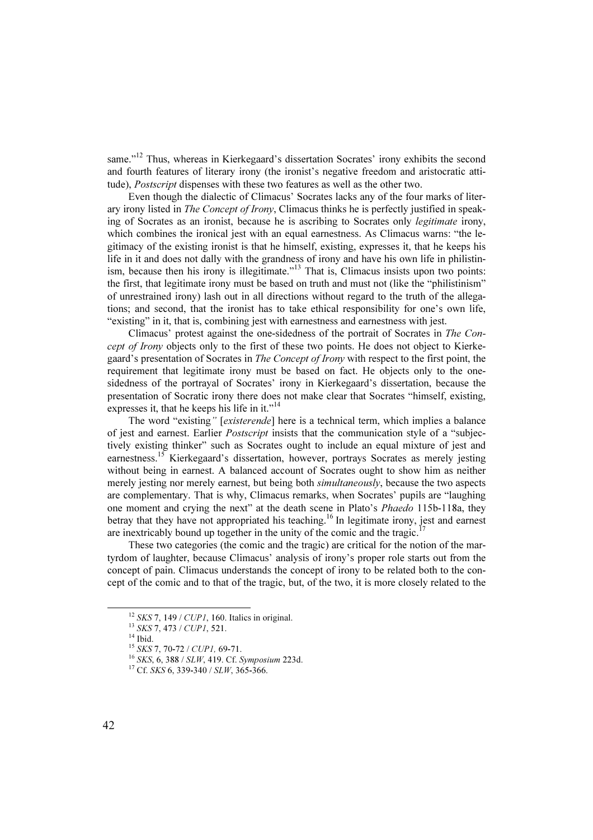same."<sup>12</sup> Thus, whereas in Kierkegaard's dissertation Socrates' irony exhibits the second and fourth features of literary irony (the ironist's negative freedom and aristocratic attitude), Postscript dispenses with these two features as well as the other two.

Even though the dialectic of Climacus' Socrates lacks any of the four marks of literary irony listed in The Concept of Irony, Climacus thinks he is perfectly justified in speaking of Socrates as an ironist, because he is ascribing to Socrates only legitimate irony, which combines the ironical jest with an equal earnestness. As Climacus warns: "the legitimacy of the existing ironist is that he himself, existing, expresses it, that he keeps his life in it and does not dally with the grandness of irony and have his own life in philistinism, because then his irony is illegitimate. $^{13}$  That is, Climacus insists upon two points: the first, that legitimate irony must be based on truth and must not (like the "philistinism" of unrestrained irony) lash out in all directions without regard to the truth of the allegations; and second, that the ironist has to take ethical responsibility for one's own life, "existing" in it, that is, combining jest with earnestness and earnestness with jest.

Climacus' protest against the one-sidedness of the portrait of Socrates in The Concept of Irony objects only to the first of these two points. He does not object to Kierkegaard's presentation of Socrates in The Concept of Irony with respect to the first point, the requirement that legitimate irony must be based on fact. He objects only to the onesidedness of the portrayal of Socrates' irony in Kierkegaard's dissertation, because the presentation of Socratic irony there does not make clear that Socrates "himself, existing, expresses it, that he keeps his life in it."<sup>14</sup>

The word "existing" [existerende] here is a technical term, which implies a balance of jest and earnest. Earlier Postscript insists that the communication style of a "subjectively existing thinker" such as Socrates ought to include an equal mixture of jest and earnestness.<sup>15</sup> Kierkegaard's dissertation, however, portrays Socrates as merely jesting without being in earnest. A balanced account of Socrates ought to show him as neither merely jesting nor merely earnest, but being both *simultaneously*, because the two aspects are complementary. That is why, Climacus remarks, when Socrates' pupils are "laughing one moment and crying the next" at the death scene in Plato's Phaedo 115b-118a, they betray that they have not appropriated his teaching.<sup>16</sup> In legitimate irony, jest and earnest are inextricably bound up together in the unity of the comic and the tragic.<sup>1</sup>

These two categories (the comic and the tragic) are critical for the notion of the martyrdom of laughter, because Climacus' analysis of irony's proper role starts out from the concept of pain. Climacus understands the concept of irony to be related both to the concept of the comic and to that of the tragic, but, of the two, it is more closely related to the

<sup>&</sup>lt;sup>12</sup> SKS 7, 149 / CUP1, 160. Italics in original.<br><sup>13</sup> SKS 7, 473 / CUP1, 521.<br><sup>14</sup> Ibid.<br><sup>15</sup> SKS 7, 70-72 / CUP1, 69-71.

<sup>&</sup>lt;sup>16</sup> SKS, 6, 388 / SLW, 419. Cf. Symposium 223d. <sup>17</sup> Cf. SKS 6, 339-340 / SLW, 365-366.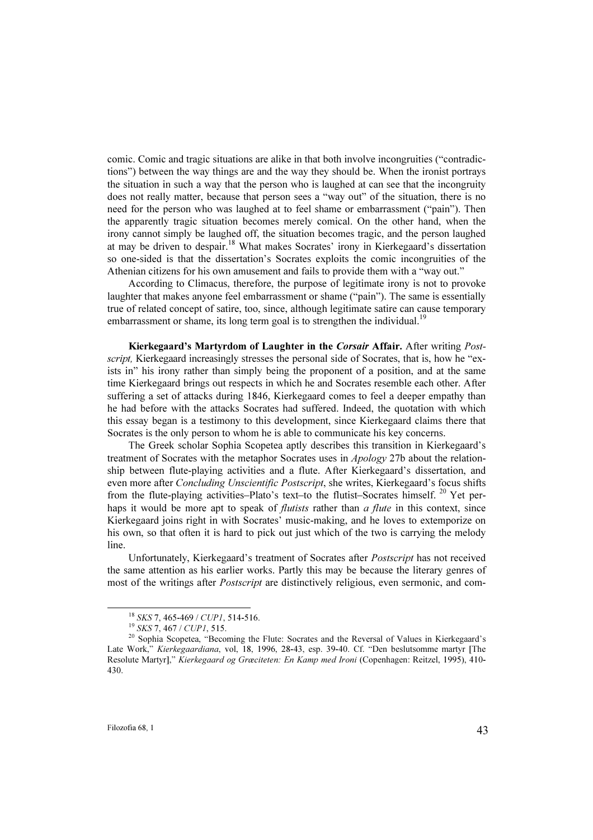comic. Comic and tragic situations are alike in that both involve incongruities ("contradictions") between the way things are and the way they should be. When the ironist portrays the situation in such a way that the person who is laughed at can see that the incongruity does not really matter, because that person sees a "way out" of the situation, there is no need for the person who was laughed at to feel shame or embarrassment ("pain"). Then the apparently tragic situation becomes merely comical. On the other hand, when the irony cannot simply be laughed off, the situation becomes tragic, and the person laughed at may be driven to despair.<sup>18</sup> What makes Socrates' irony in Kierkegaard's dissertation so one-sided is that the dissertation's Socrates exploits the comic incongruities of the Athenian citizens for his own amusement and fails to provide them with a "way out."

According to Climacus, therefore, the purpose of legitimate irony is not to provoke laughter that makes anyone feel embarrassment or shame ("pain"). The same is essentially true of related concept of satire, too, since, although legitimate satire can cause temporary embarrassment or shame, its long term goal is to strengthen the individual.<sup>19</sup>

Kierkegaard's Martyrdom of Laughter in the Corsair Affair. After writing Postscript, Kierkegaard increasingly stresses the personal side of Socrates, that is, how he "exists in" his irony rather than simply being the proponent of a position, and at the same time Kierkegaard brings out respects in which he and Socrates resemble each other. After suffering a set of attacks during 1846, Kierkegaard comes to feel a deeper empathy than he had before with the attacks Socrates had suffered. Indeed, the quotation with which this essay began is a testimony to this development, since Kierkegaard claims there that Socrates is the only person to whom he is able to communicate his key concerns.

The Greek scholar Sophia Scopetea aptly describes this transition in Kierkegaard's treatment of Socrates with the metaphor Socrates uses in Apology 27b about the relationship between flute-playing activities and a flute. After Kierkegaard's dissertation, and even more after Concluding Unscientific Postscript, she writes, Kierkegaard's focus shifts from the flute-playing activities–Plato's text–to the flutist–Socrates himself.<sup>20</sup> Yet perhaps it would be more apt to speak of *flutists* rather than  $\alpha$  *flute* in this context, since Kierkegaard joins right in with Socrates' music-making, and he loves to extemporize on his own, so that often it is hard to pick out just which of the two is carrying the melody line.

Unfortunately, Kierkegaard's treatment of Socrates after Postscript has not received the same attention as his earlier works. Partly this may be because the literary genres of most of the writings after *Postscript* are distinctively religious, even sermonic, and com-

<sup>&</sup>lt;sup>18</sup> SKS 7, 465-469 / CUP1, 514-516.<br><sup>19</sup> SKS 7, 467 / CUP1, 515.<br><sup>20</sup> Sophia Scopetea, "Becoming the Flute: Socrates and the Reversal of Values in Kierkegaard's Late Work," Kierkegaardiana, vol, 18, 1996, 28-43, esp. 39-40. Cf. "Den beslutsomme martyr [The Resolute Martyr]," Kierkegaard og Græciteten: En Kamp med Ironi (Copenhagen: Reitzel, 1995), 410- 430.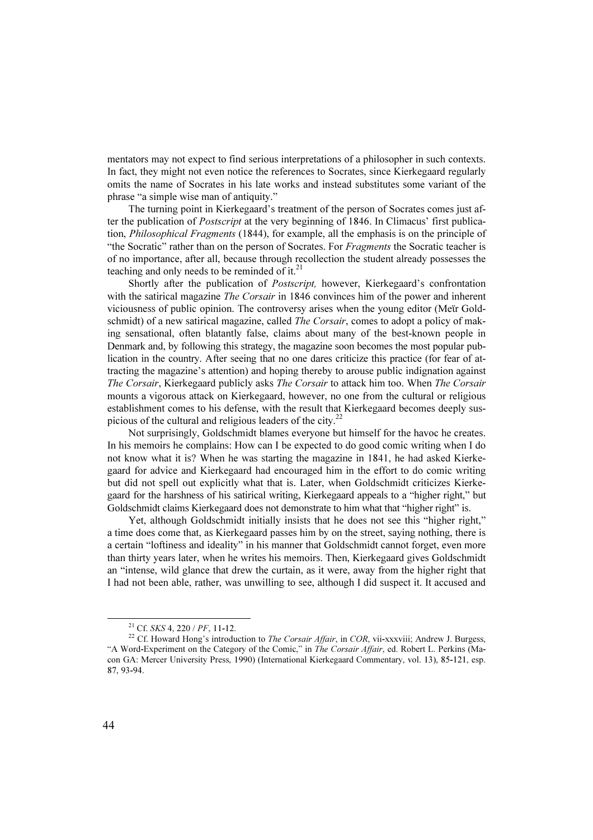mentators may not expect to find serious interpretations of a philosopher in such contexts. In fact, they might not even notice the references to Socrates, since Kierkegaard regularly omits the name of Socrates in his late works and instead substitutes some variant of the phrase "a simple wise man of antiquity."

The turning point in Kierkegaard's treatment of the person of Socrates comes just after the publication of *Postscript* at the very beginning of 1846. In Climacus' first publication, Philosophical Fragments (1844), for example, all the emphasis is on the principle of "the Socratic" rather than on the person of Socrates. For Fragments the Socratic teacher is of no importance, after all, because through recollection the student already possesses the teaching and only needs to be reminded of it. $^{21}$ 

Shortly after the publication of Postscript, however, Kierkegaard's confrontation with the satirical magazine *The Corsair* in 1846 convinces him of the power and inherent viciousness of public opinion. The controversy arises when the young editor (Meϊr Goldschmidt) of a new satirical magazine, called *The Corsair*, comes to adopt a policy of making sensational, often blatantly false, claims about many of the best-known people in Denmark and, by following this strategy, the magazine soon becomes the most popular publication in the country. After seeing that no one dares criticize this practice (for fear of attracting the magazine's attention) and hoping thereby to arouse public indignation against The Corsair, Kierkegaard publicly asks The Corsair to attack him too. When The Corsair mounts a vigorous attack on Kierkegaard, however, no one from the cultural or religious establishment comes to his defense, with the result that Kierkegaard becomes deeply suspicious of the cultural and religious leaders of the city. $^{22}$ 

Not surprisingly, Goldschmidt blames everyone but himself for the havoc he creates. In his memoirs he complains: How can I be expected to do good comic writing when I do not know what it is? When he was starting the magazine in 1841, he had asked Kierkegaard for advice and Kierkegaard had encouraged him in the effort to do comic writing but did not spell out explicitly what that is. Later, when Goldschmidt criticizes Kierkegaard for the harshness of his satirical writing, Kierkegaard appeals to a "higher right," but Goldschmidt claims Kierkegaard does not demonstrate to him what that "higher right" is.

Yet, although Goldschmidt initially insists that he does not see this "higher right," a time does come that, as Kierkegaard passes him by on the street, saying nothing, there is a certain "loftiness and ideality" in his manner that Goldschmidt cannot forget, even more than thirty years later, when he writes his memoirs. Then, Kierkegaard gives Goldschmidt an "intense, wild glance that drew the curtain, as it were, away from the higher right that I had not been able, rather, was unwilling to see, although I did suspect it. It accused and

<sup>&</sup>lt;sup>21</sup> Cf. SKS 4, 220 / PF, 11-12.<br><sup>22</sup> Cf. Howard Hong's introduction to *The Corsair Affair*, in *COR*, vii-xxxviii; Andrew J. Burgess, "A Word-Experiment on the Category of the Comic," in The Corsair Affair, ed. Robert L. Perkins (Macon GA: Mercer University Press, 1990) (International Kierkegaard Commentary, vol. 13), 85-121, esp. 87, 93-94.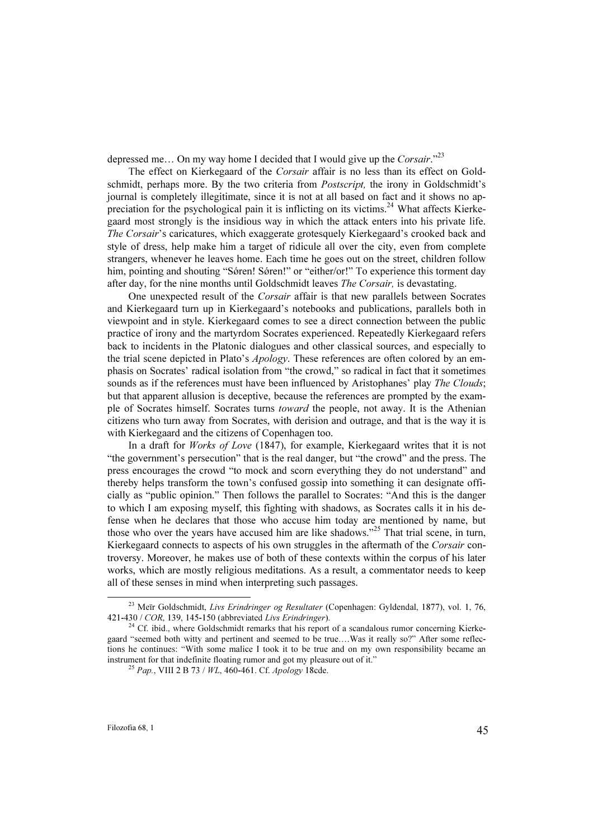depressed me... On my way home I decided that I would give up the Corsair."<sup>23</sup>

The effect on Kierkegaard of the Corsair affair is no less than its effect on Goldschmidt, perhaps more. By the two criteria from *Postscript*, the irony in Goldschmidt's journal is completely illegitimate, since it is not at all based on fact and it shows no appreciation for the psychological pain it is inflicting on its victims.<sup>24</sup> What affects Kierkegaard most strongly is the insidious way in which the attack enters into his private life. The Corsair's caricatures, which exaggerate grotesquely Kierkegaard's crooked back and style of dress, help make him a target of ridicule all over the city, even from complete strangers, whenever he leaves home. Each time he goes out on the street, children follow him, pointing and shouting "Søren! Søren!" or "either/or!" To experience this torment day after day, for the nine months until Goldschmidt leaves The Corsair, is devastating.

One unexpected result of the Corsair affair is that new parallels between Socrates and Kierkegaard turn up in Kierkegaard's notebooks and publications, parallels both in viewpoint and in style. Kierkegaard comes to see a direct connection between the public practice of irony and the martyrdom Socrates experienced. Repeatedly Kierkegaard refers back to incidents in the Platonic dialogues and other classical sources, and especially to the trial scene depicted in Plato's *Apology*. These references are often colored by an emphasis on Socrates' radical isolation from "the crowd," so radical in fact that it sometimes sounds as if the references must have been influenced by Aristophanes' play *The Clouds*; but that apparent allusion is deceptive, because the references are prompted by the example of Socrates himself. Socrates turns toward the people, not away. It is the Athenian citizens who turn away from Socrates, with derision and outrage, and that is the way it is with Kierkegaard and the citizens of Copenhagen too.

In a draft for Works of Love (1847), for example, Kierkegaard writes that it is not "the government's persecution" that is the real danger, but "the crowd" and the press. The press encourages the crowd "to mock and scorn everything they do not understand" and thereby helps transform the town's confused gossip into something it can designate officially as "public opinion." Then follows the parallel to Socrates: "And this is the danger to which I am exposing myself, this fighting with shadows, as Socrates calls it in his defense when he declares that those who accuse him today are mentioned by name, but those who over the years have accused him are like shadows."<sup>25</sup> That trial scene, in turn, Kierkegaard connects to aspects of his own struggles in the aftermath of the Corsair controversy. Moreover, he makes use of both of these contexts within the corpus of his later works, which are mostly religious meditations. As a result, a commentator needs to keep all of these senses in mind when interpreting such passages.

<sup>&</sup>lt;sup>23</sup> Meïr Goldschmidt, Livs Erindringer og Resultater (Copenhagen: Gyldendal, 1877), vol. 1, 76, 421-430 / COR, 139, 145-150 (abbreviated Livs Erindringer).<br><sup>24</sup> Cf. ibid., where Goldschmidt remarks that his report of a scandalous rumor concerning Kierke-

gaard "seemed both witty and pertinent and seemed to be true….Was it really so?" After some reflections he continues: "With some malice I took it to be true and on my own responsibility became an instrument for that indefinite floating rumor and got my pleasure out of it."<br><sup>25</sup> Pap., VIII 2 B 73 / WL, 460-461. Cf. Apology 18cde.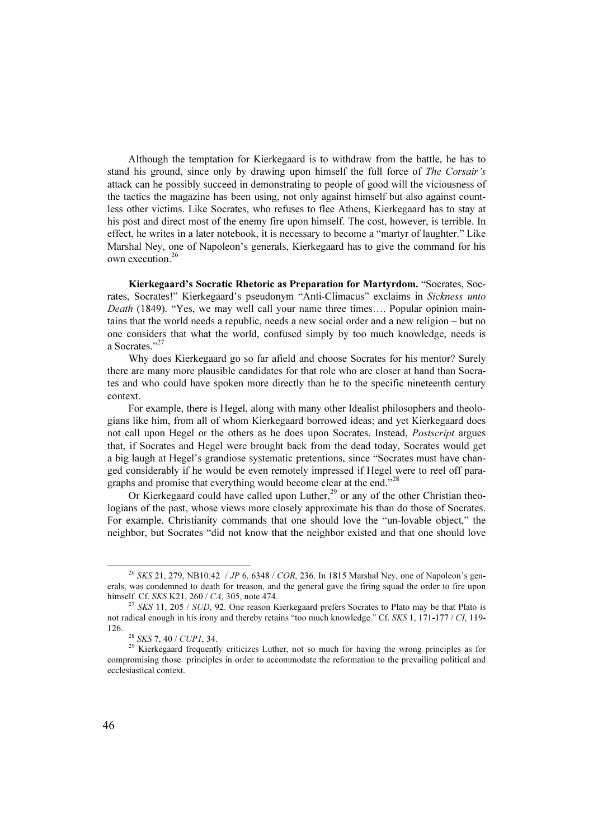Although the temptation for Kierkegaard is to withdraw from the battle, he has to stand his ground, since only by drawing upon himself the full force of The Corsair's attack can he possibly succeed in demonstrating to people of good will the viciousness of the tactics the magazine has been using, not only against himself but also against countless other victims. Like Socrates, who refuses to flee Athens, Kierkegaard has to stay at his post and direct most of the enemy fire upon himself. The cost, however, is terrible. In effect, he writes in a later notebook, it is necessary to become a "martyr of laughter." Like Marshal Ney, one of Napoleon's generals, Kierkegaard has to give the command for his own execution.<sup>26</sup>

Kierkegaard's Socratic Rhetoric as Preparation for Martyrdom. "Socrates, Socrates, Socrates!" Kierkegaard's pseudonym "Anti-Climacus" exclaims in Sickness unto Death (1849). "Yes, we may well call your name three times.... Popular opinion maintains that the world needs a republic, needs a new social order and a new religion – but no one considers that what the world, confused simply by too much knowledge, needs is a Socrates."<sup>27</sup>

Why does Kierkegaard go so far afield and choose Socrates for his mentor? Surely there are many more plausible candidates for that role who are closer at hand than Socrates and who could have spoken more directly than he to the specific nineteenth century context.

For example, there is Hegel, along with many other Idealist philosophers and theologians like him, from all of whom Kierkegaard borrowed ideas; and yet Kierkegaard does not call upon Hegel or the others as he does upon Socrates. Instead, Postscript argues that, if Socrates and Hegel were brought back from the dead today, Socrates would get a big laugh at Hegel's grandiose systematic pretentions, since "Socrates must have changed considerably if he would be even remotely impressed if Hegel were to reel off paragraphs and promise that everything would become clear at the end."<sup>28</sup>

Or Kierkegaard could have called upon Luther, $^{29}$  or any of the other Christian theologians of the past, whose views more closely approximate his than do those of Socrates. For example, Christianity commands that one should love the "un-lovable object," the neighbor, but Socrates "did not know that the neighbor existed and that one should love

<sup>&</sup>lt;sup>26</sup> SKS 21, 279, NB10:42 / JP 6, 6348 / COR, 236. In 1815 Marshal Ney, one of Napoleon's generals, was condemned to death for treason, and the general gave the firing squad the order to fire upon himself. Cf. SKS K21, 260 / CA, 305, note 474.<br><sup>27</sup> SKS 11, 205 / SUD, 92. One reason Kierkegaard prefers Socrates to Plato may be that Plato is

not radical enough in his irony and thereby retains "too much knowledge." Cf. SKS 1, 171-177 / CI, 119- 126. <sup>28</sup> SKS 7, 40 / CUP1, 34. <sup>29</sup> Kierkegaard frequently criticizes Luther, not so much for having the wrong principles as for

compromising those principles in order to accommodate the reformation to the prevailing political and ecclesiastical context.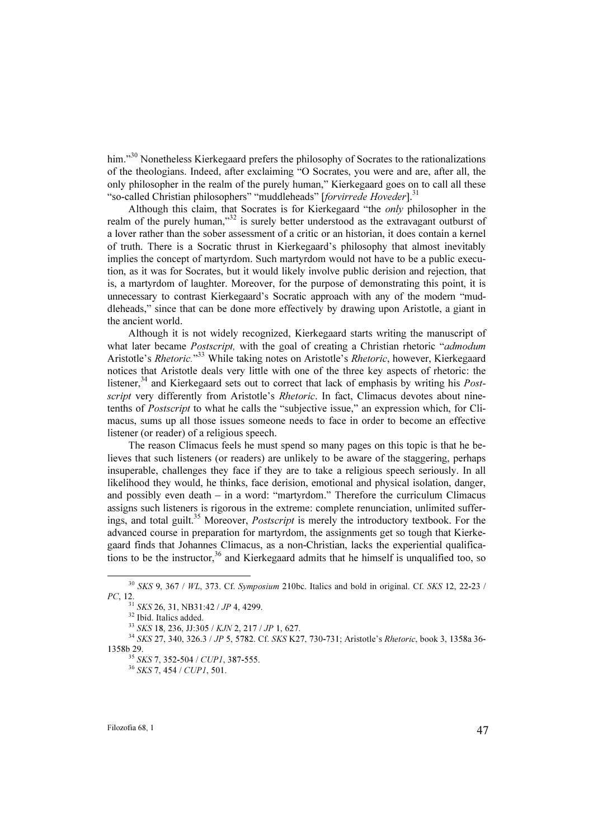him."<sup>30</sup> Nonetheless Kierkegaard prefers the philosophy of Socrates to the rationalizations of the theologians. Indeed, after exclaiming "O Socrates, you were and are, after all, the only philosopher in the realm of the purely human," Kierkegaard goes on to call all these "so-called Christian philosophers" "muddleheads" [forvirrede Hoveder].<sup>31</sup>

Although this claim, that Socrates is for Kierkegaard "the only philosopher in the realm of the purely human,"<sup>32</sup> is surely better understood as the extravagant outburst of a lover rather than the sober assessment of a critic or an historian, it does contain a kernel of truth. There is a Socratic thrust in Kierkegaard's philosophy that almost inevitably implies the concept of martyrdom. Such martyrdom would not have to be a public execution, as it was for Socrates, but it would likely involve public derision and rejection, that is, a martyrdom of laughter. Moreover, for the purpose of demonstrating this point, it is unnecessary to contrast Kierkegaard's Socratic approach with any of the modern "muddleheads," since that can be done more effectively by drawing upon Aristotle, a giant in the ancient world.

Although it is not widely recognized, Kierkegaard starts writing the manuscript of what later became *Postscript*, with the goal of creating a Christian rhetoric "*admodum* Aristotle's *Rhetoric*."<sup>33</sup> While taking notes on Aristotle's *Rhetoric*, however, Kierkegaard notices that Aristotle deals very little with one of the three key aspects of rhetoric: the listener,<sup>34</sup> and Kierkegaard sets out to correct that lack of emphasis by writing his *Post*script very differently from Aristotle's Rhetoric. In fact, Climacus devotes about ninetenths of Postscript to what he calls the "subjective issue," an expression which, for Climacus, sums up all those issues someone needs to face in order to become an effective listener (or reader) of a religious speech.

The reason Climacus feels he must spend so many pages on this topic is that he believes that such listeners (or readers) are unlikely to be aware of the staggering, perhaps insuperable, challenges they face if they are to take a religious speech seriously. In all likelihood they would, he thinks, face derision, emotional and physical isolation, danger, and possibly even death – in a word: "martyrdom." Therefore the curriculum Climacus assigns such listeners is rigorous in the extreme: complete renunciation, unlimited sufferings, and total guilt.<sup>35</sup> Moreover, *Postscript* is merely the introductory textbook. For the advanced course in preparation for martyrdom, the assignments get so tough that Kierkegaard finds that Johannes Climacus, as a non-Christian, lacks the experiential qualifications to be the instructor,  $36$  and Kierkegaard admits that he himself is unqualified too, so

 $30$  SKS 9, 367 / WL, 373. Cf. Symposium 210bc. Italics and bold in original. Cf. SKS 12, 22-23 / PC, 12.

<sup>&</sup>lt;sup>31</sup> SKS 26, 31, NB31:42 / JP 4, 4299.<br><sup>32</sup> Ibid. Italics added.<br><sup>33</sup> SKS 18, 236, JJ:305 / KJN 2, 217 / JP 1, 627.

<sup>&</sup>lt;sup>34</sup> SKS 27, 340, 326.3 / JP 5, 5782. Cf. SKS K27, 730-731; Aristotle's Rhetoric, book 3, 1358a 36-1358b 29.<br><sup>35</sup> SKS 7, 352-504 / CUP1, 387-555.<br><sup>36</sup> SKS 7, 454 / CUP1, 501.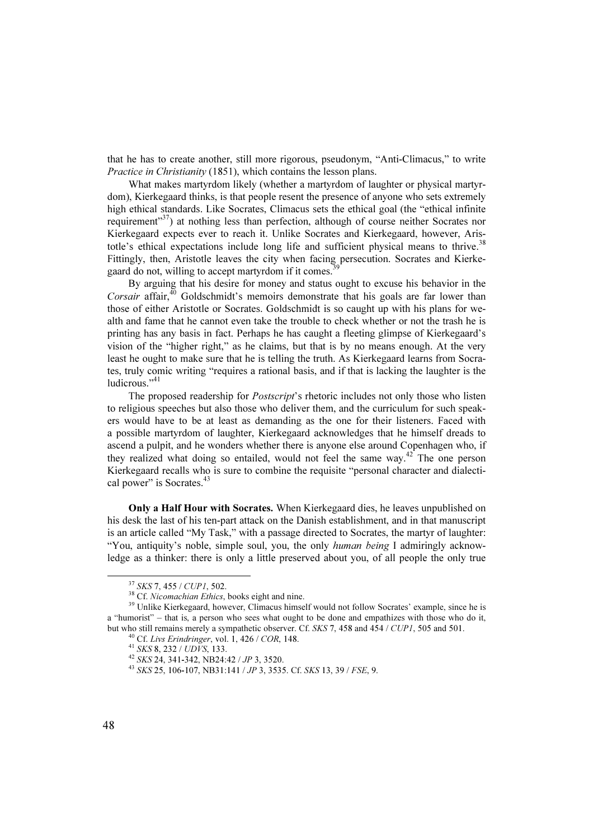that he has to create another, still more rigorous, pseudonym, "Anti-Climacus," to write Practice in Christianity (1851), which contains the lesson plans.

What makes martyrdom likely (whether a martyrdom of laughter or physical martyrdom), Kierkegaard thinks, is that people resent the presence of anyone who sets extremely high ethical standards. Like Socrates, Climacus sets the ethical goal (the "ethical infinite requirement" $37$ ) at nothing less than perfection, although of course neither Socrates nor Kierkegaard expects ever to reach it. Unlike Socrates and Kierkegaard, however, Aristotle's ethical expectations include long life and sufficient physical means to thrive.<sup>38</sup> Fittingly, then, Aristotle leaves the city when facing persecution. Socrates and Kierkegaard do not, willing to accept martyrdom if it comes.

By arguing that his desire for money and status ought to excuse his behavior in the Corsair affair, $^{40}$  Goldschmidt's memoirs demonstrate that his goals are far lower than those of either Aristotle or Socrates. Goldschmidt is so caught up with his plans for wealth and fame that he cannot even take the trouble to check whether or not the trash he is printing has any basis in fact. Perhaps he has caught a fleeting glimpse of Kierkegaard's vision of the "higher right," as he claims, but that is by no means enough. At the very least he ought to make sure that he is telling the truth. As Kierkegaard learns from Socrates, truly comic writing "requires a rational basis, and if that is lacking the laughter is the ludicrous."<sup>41</sup>

The proposed readership for *Postscript*'s rhetoric includes not only those who listen to religious speeches but also those who deliver them, and the curriculum for such speakers would have to be at least as demanding as the one for their listeners. Faced with a possible martyrdom of laughter, Kierkegaard acknowledges that he himself dreads to ascend a pulpit, and he wonders whether there is anyone else around Copenhagen who, if they realized what doing so entailed, would not feel the same way.<sup>42</sup> The one person Kierkegaard recalls who is sure to combine the requisite "personal character and dialectical power" is Socrates.<sup>43</sup>

Only a Half Hour with Socrates. When Kierkegaard dies, he leaves unpublished on his desk the last of his ten-part attack on the Danish establishment, and in that manuscript is an article called "My Task," with a passage directed to Socrates, the martyr of laughter: "You, antiquity's noble, simple soul, you, the only *human being* I admiringly acknowledge as a thinker: there is only a little preserved about you, of all people the only true

<sup>&</sup>lt;sup>37</sup> SKS 7, 455 / CUP1, 502.<br><sup>38</sup> Cf. Nicomachian Ethics, books eight and nine.<br><sup>39</sup> Unlike Kierkegaard, however, Climacus himself would not follow Socrates' example, since he is a "humorist" – that is, a person who sees what ought to be done and empathizes with those who do it, but who still remains merely a sympathetic observer. Cf. SKS 7, 458 and 454 / CUP1, 505 and 501.

<sup>&</sup>lt;sup>40</sup> Cf. *Livs Erindringer*, vol. 1, 426 / *COR*, 148.<br><sup>41</sup> *SKS* 8, 232 / *UDVS*, 133.<br><sup>42</sup> *SKS* 24, 341-342, NB24:42 / *JP* 3, 3520.<br><sup>43</sup> *SKS* 25, 106-107. NB31:141 / *JP* 3, 3535. Cf. *SKS* 13, 39 / *FSE*, 9.